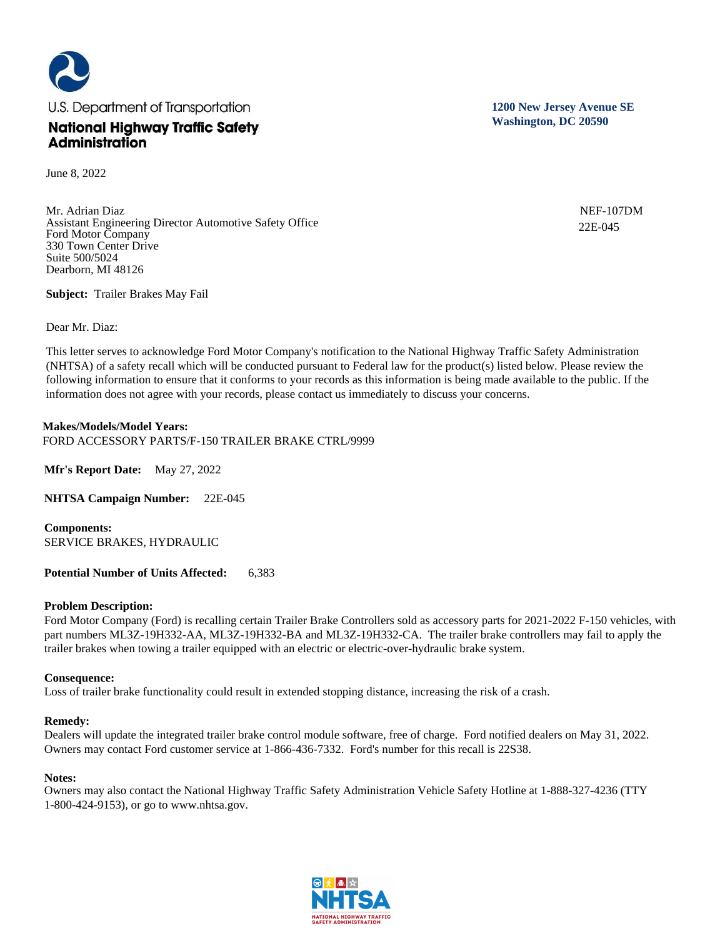

June 8, 2022

Mr. Adrian Diaz Assistant Engineering Director Automotive Safety Office Ford Motor Company 330 Town Center Drive Suite 500/5024 Dearborn, MI 48126

**Subject:** Trailer Brakes May Fail

Dear Mr. Diaz:

This letter serves to acknowledge Ford Motor Company's notification to the National Highway Traffic Safety Administration (NHTSA) of a safety recall which will be conducted pursuant to Federal law for the product(s) listed below. Please review the following information to ensure that it conforms to your records as this information is being made available to the public. If the information does not agree with your records, please contact us immediately to discuss your concerns.

## **Makes/Models/Model Years:**

FORD ACCESSORY PARTS/F-150 TRAILER BRAKE CTRL/9999

**Mfr's Report Date:** May 27, 2022

**NHTSA Campaign Number:** 22E-045

**Components:**  SERVICE BRAKES, HYDRAULIC

**Potential Number of Units Affected:** 6,383

### **Problem Description:**

Ford Motor Company (Ford) is recalling certain Trailer Brake Controllers sold as accessory parts for 2021-2022 F-150 vehicles, with part numbers ML3Z-19H332-AA, ML3Z-19H332-BA and ML3Z-19H332-CA. The trailer brake controllers may fail to apply the trailer brakes when towing a trailer equipped with an electric or electric-over-hydraulic brake system.

### **Consequence:**

Loss of trailer brake functionality could result in extended stopping distance, increasing the risk of a crash.

### **Remedy:**

Dealers will update the integrated trailer brake control module software, free of charge. Ford notified dealers on May 31, 2022. Owners may contact Ford customer service at 1-866-436-7332. Ford's number for this recall is 22S38.

### **Notes:**

Owners may also contact the National Highway Traffic Safety Administration Vehicle Safety Hotline at 1-888-327-4236 (TTY 1-800-424-9153), or go to www.nhtsa.gov.



**1200 New Jersey Avenue SE Washington, DC 20590**

> NEF-107DM 22E-045